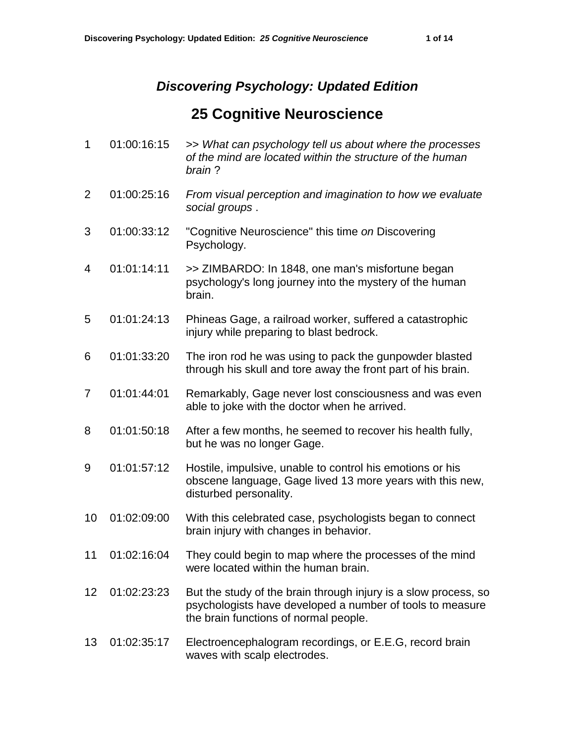## *Discovering Psychology: Updated Edition*

## **25 Cognitive Neuroscience**

| $\mathbf{1}$   | 01:00:16:15 | >> What can psychology tell us about where the processes<br>of the mind are located within the structure of the human<br>brain?                                       |
|----------------|-------------|-----------------------------------------------------------------------------------------------------------------------------------------------------------------------|
| 2              | 01:00:25:16 | From visual perception and imagination to how we evaluate<br>social groups.                                                                                           |
| 3              | 01:00:33:12 | "Cognitive Neuroscience" this time on Discovering<br>Psychology.                                                                                                      |
| 4              | 01:01:14:11 | >> ZIMBARDO: In 1848, one man's misfortune began<br>psychology's long journey into the mystery of the human<br>brain.                                                 |
| 5              | 01:01:24:13 | Phineas Gage, a railroad worker, suffered a catastrophic<br>injury while preparing to blast bedrock.                                                                  |
| 6              | 01:01:33:20 | The iron rod he was using to pack the gunpowder blasted<br>through his skull and tore away the front part of his brain.                                               |
| $\overline{7}$ | 01:01:44:01 | Remarkably, Gage never lost consciousness and was even<br>able to joke with the doctor when he arrived.                                                               |
| 8              | 01:01:50:18 | After a few months, he seemed to recover his health fully,<br>but he was no longer Gage.                                                                              |
| 9              | 01:01:57:12 | Hostile, impulsive, unable to control his emotions or his<br>obscene language, Gage lived 13 more years with this new,<br>disturbed personality.                      |
| 10             | 01:02:09:00 | With this celebrated case, psychologists began to connect<br>brain injury with changes in behavior.                                                                   |
| 11             | 01:02:16:04 | They could begin to map where the processes of the mind<br>were located within the human brain.                                                                       |
| 12             | 01:02:23:23 | But the study of the brain through injury is a slow process, so<br>psychologists have developed a number of tools to measure<br>the brain functions of normal people. |
| 13             | 01:02:35:17 | Electroencephalogram recordings, or E.E.G, record brain<br>waves with scalp electrodes.                                                                               |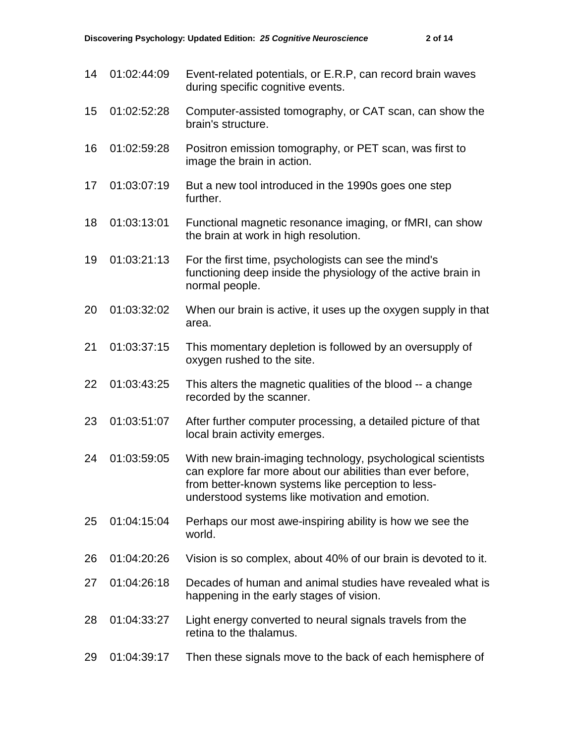| 14 | 01:02:44:09 | Event-related potentials, or E.R.P, can record brain waves<br>during specific cognitive events.                                                                                                                                    |
|----|-------------|------------------------------------------------------------------------------------------------------------------------------------------------------------------------------------------------------------------------------------|
| 15 | 01:02:52:28 | Computer-assisted tomography, or CAT scan, can show the<br>brain's structure.                                                                                                                                                      |
| 16 | 01:02:59:28 | Positron emission tomography, or PET scan, was first to<br>image the brain in action.                                                                                                                                              |
| 17 | 01:03:07:19 | But a new tool introduced in the 1990s goes one step<br>further.                                                                                                                                                                   |
| 18 | 01:03:13:01 | Functional magnetic resonance imaging, or fMRI, can show<br>the brain at work in high resolution.                                                                                                                                  |
| 19 | 01:03:21:13 | For the first time, psychologists can see the mind's<br>functioning deep inside the physiology of the active brain in<br>normal people.                                                                                            |
| 20 | 01:03:32:02 | When our brain is active, it uses up the oxygen supply in that<br>area.                                                                                                                                                            |
| 21 | 01:03:37:15 | This momentary depletion is followed by an oversupply of<br>oxygen rushed to the site.                                                                                                                                             |
| 22 | 01:03:43:25 | This alters the magnetic qualities of the blood -- a change<br>recorded by the scanner.                                                                                                                                            |
| 23 | 01:03:51:07 | After further computer processing, a detailed picture of that<br>local brain activity emerges.                                                                                                                                     |
| 24 | 01:03:59:05 | With new brain-imaging technology, psychological scientists<br>can explore far more about our abilities than ever before,<br>from better-known systems like perception to less-<br>understood systems like motivation and emotion. |
| 25 | 01:04:15:04 | Perhaps our most awe-inspiring ability is how we see the<br>world.                                                                                                                                                                 |
| 26 | 01:04:20:26 | Vision is so complex, about 40% of our brain is devoted to it.                                                                                                                                                                     |
| 27 | 01:04:26:18 | Decades of human and animal studies have revealed what is<br>happening in the early stages of vision.                                                                                                                              |
| 28 | 01:04:33:27 | Light energy converted to neural signals travels from the<br>retina to the thalamus.                                                                                                                                               |
| 29 | 01:04:39:17 | Then these signals move to the back of each hemisphere of                                                                                                                                                                          |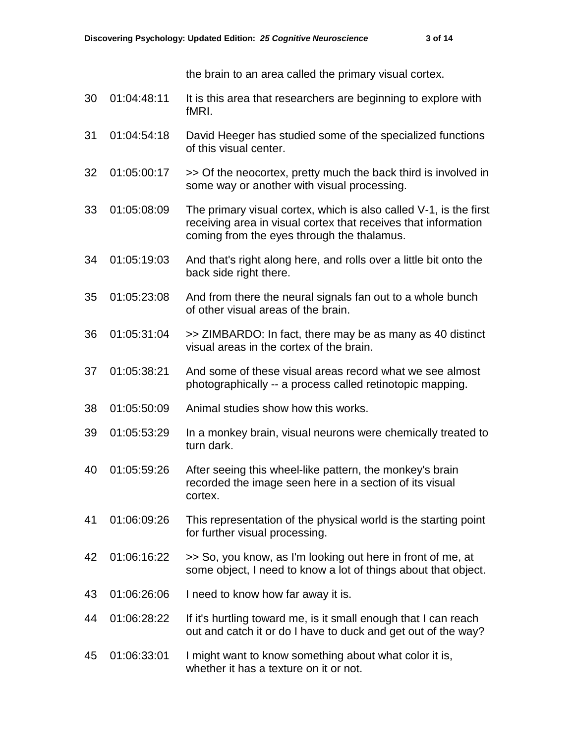the brain to an area called the primary visual cortex.

- 30 01:04:48:11 It is this area that researchers are beginning to explore with fMRI.
- 31 01:04:54:18 David Heeger has studied some of the specialized functions of this visual center.
- 32 01:05:00:17 >> Of the neocortex, pretty much the back third is involved in some way or another with visual processing.
- 33 01:05:08:09 The primary visual cortex, which is also called V-1, is the first receiving area in visual cortex that receives that information coming from the eyes through the thalamus.
- 34 01:05:19:03 And that's right along here, and rolls over a little bit onto the back side right there.
- 35 01:05:23:08 And from there the neural signals fan out to a whole bunch of other visual areas of the brain.
- 36 01:05:31:04 >> ZIMBARDO: In fact, there may be as many as 40 distinct visual areas in the cortex of the brain.
- 37 01:05:38:21 And some of these visual areas record what we see almost photographically -- a process called retinotopic mapping.
- 38 01:05:50:09 Animal studies show how this works.
- 39 01:05:53:29 In a monkey brain, visual neurons were chemically treated to turn dark.
- 40 01:05:59:26 After seeing this wheel-like pattern, the monkey's brain recorded the image seen here in a section of its visual cortex.
- 41 01:06:09:26 This representation of the physical world is the starting point for further visual processing.
- 42 01:06:16:22 >> So, you know, as I'm looking out here in front of me, at some object, I need to know a lot of things about that object.
- 43 01:06:26:06 I need to know how far away it is.
- 44 01:06:28:22 If it's hurtling toward me, is it small enough that I can reach out and catch it or do I have to duck and get out of the way?
- 45 01:06:33:01 I might want to know something about what color it is, whether it has a texture on it or not.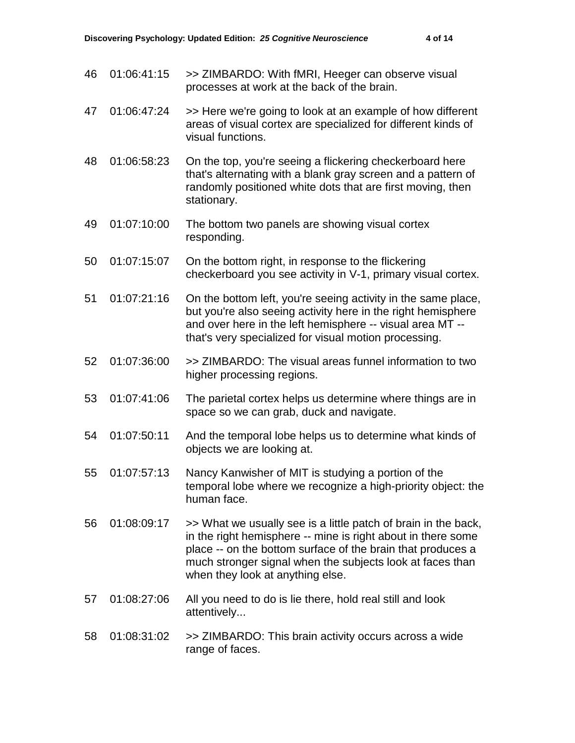- 46 01:06:41:15 >> ZIMBARDO: With fMRI, Heeger can observe visual processes at work at the back of the brain.
- 47 01:06:47:24 >> Here we're going to look at an example of how different areas of visual cortex are specialized for different kinds of visual functions.
- 48 01:06:58:23 On the top, you're seeing a flickering checkerboard here that's alternating with a blank gray screen and a pattern of randomly positioned white dots that are first moving, then stationary.
- 49 01:07:10:00 The bottom two panels are showing visual cortex responding.
- 50 01:07:15:07 On the bottom right, in response to the flickering checkerboard you see activity in V-1, primary visual cortex.
- 51 01:07:21:16 On the bottom left, you're seeing activity in the same place, but you're also seeing activity here in the right hemisphere and over here in the left hemisphere -- visual area MT - that's very specialized for visual motion processing.
- 52 01:07:36:00 >> ZIMBARDO: The visual areas funnel information to two higher processing regions.
- 53 01:07:41:06 The parietal cortex helps us determine where things are in space so we can grab, duck and navigate.
- 54 01:07:50:11 And the temporal lobe helps us to determine what kinds of objects we are looking at.
- 55 01:07:57:13 Nancy Kanwisher of MIT is studying a portion of the temporal lobe where we recognize a high-priority object: the human face.
- 56 01:08:09:17 >> What we usually see is a little patch of brain in the back, in the right hemisphere -- mine is right about in there some place -- on the bottom surface of the brain that produces a much stronger signal when the subjects look at faces than when they look at anything else.
- 57 01:08:27:06 All you need to do is lie there, hold real still and look attentively...
- 58 01:08:31:02 >> ZIMBARDO: This brain activity occurs across a wide range of faces.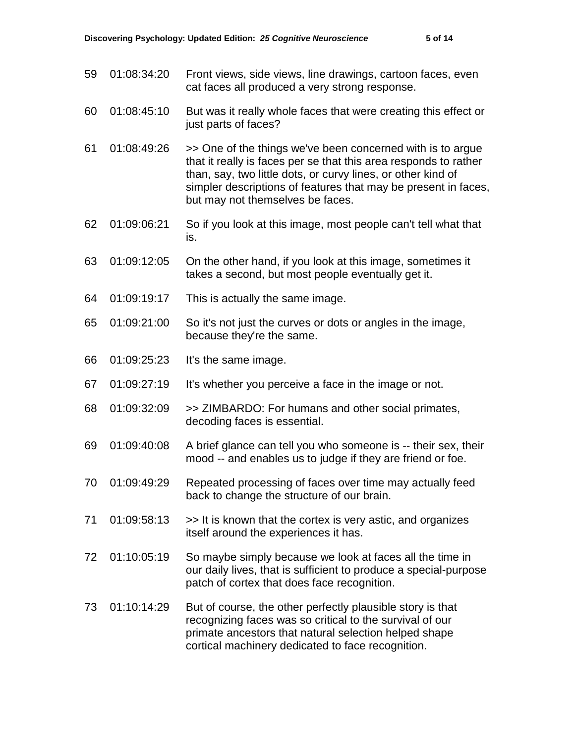- 59 01:08:34:20 Front views, side views, line drawings, cartoon faces, even cat faces all produced a very strong response.
- 60 01:08:45:10 But was it really whole faces that were creating this effect or just parts of faces?
- 61 01:08:49:26 >> One of the things we've been concerned with is to argue that it really is faces per se that this area responds to rather than, say, two little dots, or curvy lines, or other kind of simpler descriptions of features that may be present in faces, but may not themselves be faces.
- 62 01:09:06:21 So if you look at this image, most people can't tell what that is.
- 63 01:09:12:05 On the other hand, if you look at this image, sometimes it takes a second, but most people eventually get it.
- 64 01:09:19:17 This is actually the same image.
- 65 01:09:21:00 So it's not just the curves or dots or angles in the image, because they're the same.
- 66 01:09:25:23 It's the same image.
- 67 01:09:27:19 It's whether you perceive a face in the image or not.
- 68 01:09:32:09 >> ZIMBARDO: For humans and other social primates, decoding faces is essential.
- 69 01:09:40:08 A brief glance can tell you who someone is -- their sex, their mood -- and enables us to judge if they are friend or foe.
- 70 01:09:49:29 Repeated processing of faces over time may actually feed back to change the structure of our brain.
- 71 01:09:58:13 >> It is known that the cortex is very astic, and organizes itself around the experiences it has.
- 72 01:10:05:19 So maybe simply because we look at faces all the time in our daily lives, that is sufficient to produce a special-purpose patch of cortex that does face recognition.
- 73 01:10:14:29 But of course, the other perfectly plausible story is that recognizing faces was so critical to the survival of our primate ancestors that natural selection helped shape cortical machinery dedicated to face recognition.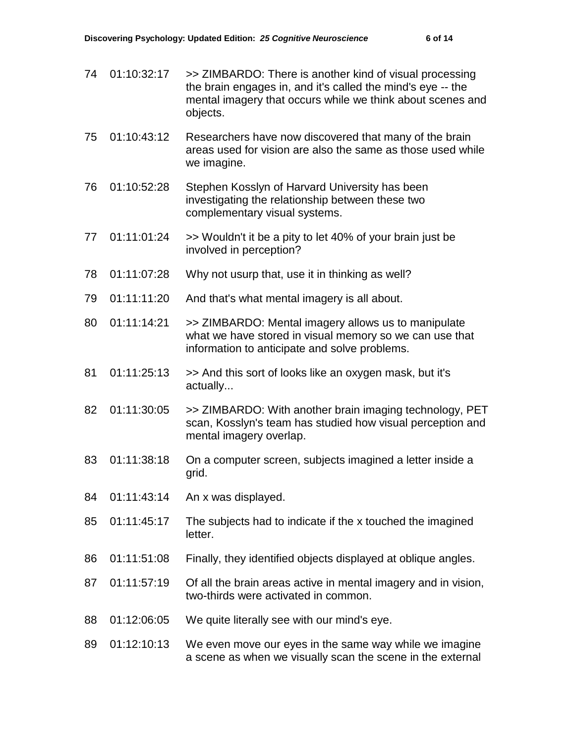74 01:10:32:17 >> ZIMBARDO: There is another kind of visual processing the brain engages in, and it's called the mind's eye -- the mental imagery that occurs while we think about scenes and objects. 75 01:10:43:12 Researchers have now discovered that many of the brain areas used for vision are also the same as those used while we imagine. 76 01:10:52:28 Stephen Kosslyn of Harvard University has been investigating the relationship between these two complementary visual systems. 77 01:11:01:24 >> Wouldn't it be a pity to let 40% of your brain just be involved in perception? 78 01:11:07:28 Why not usurp that, use it in thinking as well? 79 01:11:11:20 And that's what mental imagery is all about. 80 01:11:14:21 >> ZIMBARDO: Mental imagery allows us to manipulate what we have stored in visual memory so we can use that information to anticipate and solve problems. 81 01:11:25:13 >> And this sort of looks like an oxygen mask, but it's actually... 82 01:11:30:05 >> ZIMBARDO: With another brain imaging technology, PET scan, Kosslyn's team has studied how visual perception and mental imagery overlap. 83 01:11:38:18 On a computer screen, subjects imagined a letter inside a grid. 84 01:11:43:14 An x was displayed. 85 01:11:45:17 The subjects had to indicate if the x touched the imagined letter. 86 01:11:51:08 Finally, they identified objects displayed at oblique angles. 87 01:11:57:19 Of all the brain areas active in mental imagery and in vision, two-thirds were activated in common. 88 01:12:06:05 We quite literally see with our mind's eye. 89 01:12:10:13 We even move our eyes in the same way while we imagine a scene as when we visually scan the scene in the external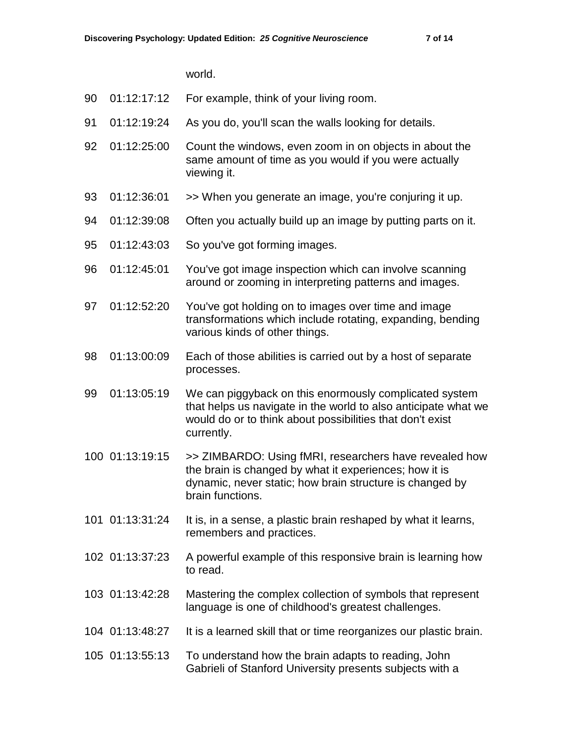world.

- 90 01:12:17:12 For example, think of your living room.
- 91 01:12:19:24 As you do, you'll scan the walls looking for details.
- 92 01:12:25:00 Count the windows, even zoom in on objects in about the same amount of time as you would if you were actually viewing it.
- 93 01:12:36:01 >> When you generate an image, you're conjuring it up.
- 94 01:12:39:08 Often you actually build up an image by putting parts on it.
- 95 01:12:43:03 So you've got forming images.
- 96 01:12:45:01 You've got image inspection which can involve scanning around or zooming in interpreting patterns and images.
- 97 01:12:52:20 You've got holding on to images over time and image transformations which include rotating, expanding, bending various kinds of other things.
- 98 01:13:00:09 Each of those abilities is carried out by a host of separate processes.
- 99 01:13:05:19 We can piggyback on this enormously complicated system that helps us navigate in the world to also anticipate what we would do or to think about possibilities that don't exist currently.
- 100 01:13:19:15 >> ZIMBARDO: Using fMRI, researchers have revealed how the brain is changed by what it experiences; how it is dynamic, never static; how brain structure is changed by brain functions.
- 101 01:13:31:24 It is, in a sense, a plastic brain reshaped by what it learns, remembers and practices.
- 102 01:13:37:23 A powerful example of this responsive brain is learning how to read.
- 103 01:13:42:28 Mastering the complex collection of symbols that represent language is one of childhood's greatest challenges.
- 104 01:13:48:27 It is a learned skill that or time reorganizes our plastic brain.
- 105 01:13:55:13 To understand how the brain adapts to reading, John Gabrieli of Stanford University presents subjects with a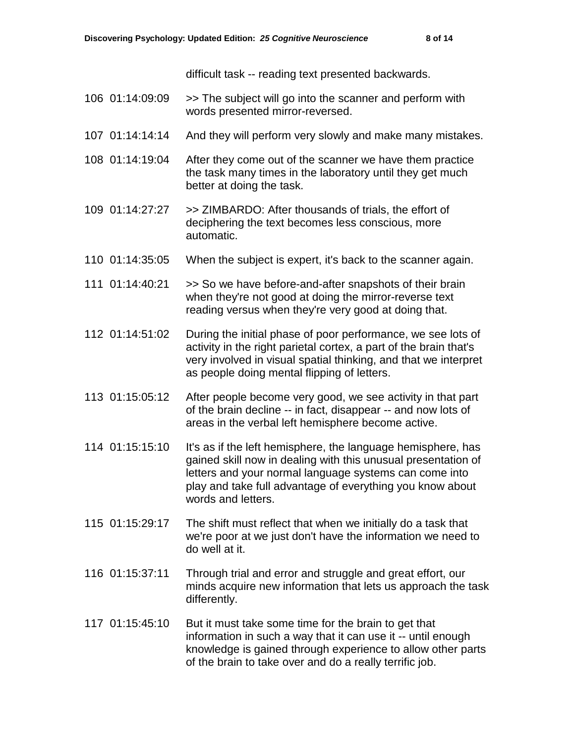difficult task -- reading text presented backwards.

- 106 01:14:09:09 >> The subject will go into the scanner and perform with words presented mirror-reversed.
- 107 01:14:14:14 And they will perform very slowly and make many mistakes.
- 108 01:14:19:04 After they come out of the scanner we have them practice the task many times in the laboratory until they get much better at doing the task.
- 109 01:14:27:27 >> ZIMBARDO: After thousands of trials, the effort of deciphering the text becomes less conscious, more automatic.
- 110 01:14:35:05 When the subject is expert, it's back to the scanner again.
- 111 01:14:40:21 >> So we have before-and-after snapshots of their brain when they're not good at doing the mirror-reverse text reading versus when they're very good at doing that.
- 112 01:14:51:02 During the initial phase of poor performance, we see lots of activity in the right parietal cortex, a part of the brain that's very involved in visual spatial thinking, and that we interpret as people doing mental flipping of letters.
- 113 01:15:05:12 After people become very good, we see activity in that part of the brain decline -- in fact, disappear -- and now lots of areas in the verbal left hemisphere become active.
- 114 01:15:15:10 It's as if the left hemisphere, the language hemisphere, has gained skill now in dealing with this unusual presentation of letters and your normal language systems can come into play and take full advantage of everything you know about words and letters.
- 115 01:15:29:17 The shift must reflect that when we initially do a task that we're poor at we just don't have the information we need to do well at it.
- 116 01:15:37:11 Through trial and error and struggle and great effort, our minds acquire new information that lets us approach the task differently.
- 117 01:15:45:10 But it must take some time for the brain to get that information in such a way that it can use it -- until enough knowledge is gained through experience to allow other parts of the brain to take over and do a really terrific job.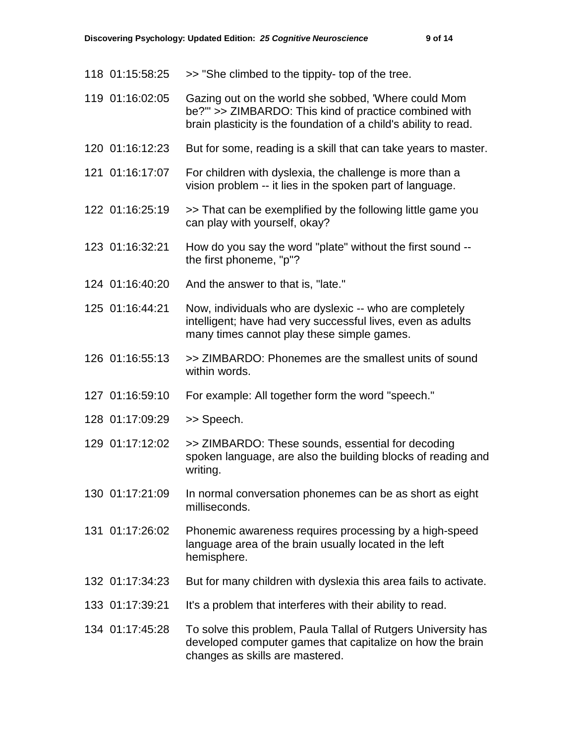- 118  $01:15:58:25$  > She climbed to the tippity- top of the tree.
- 119 01:16:02:05 Gazing out on the world she sobbed, 'Where could Mom be?'" >> ZIMBARDO: This kind of practice combined with brain plasticity is the foundation of a child's ability to read.
- 120 01:16:12:23 But for some, reading is a skill that can take years to master.
- 121 01:16:17:07 For children with dyslexia, the challenge is more than a vision problem -- it lies in the spoken part of language.
- 122 01:16:25:19 >> That can be exemplified by the following little game you can play with yourself, okay?
- 123 01:16:32:21 How do you say the word "plate" without the first sound the first phoneme, "p"?
- 124 01:16:40:20 And the answer to that is, "late."
- 125 01:16:44:21 Now, individuals who are dyslexic -- who are completely intelligent; have had very successful lives, even as adults many times cannot play these simple games.
- 126 01:16:55:13 >> ZIMBARDO: Phonemes are the smallest units of sound within words.
- 127 01:16:59:10 For example: All together form the word "speech."
- 128 01:17:09:29 >> Speech.
- 129 01:17:12:02 >> ZIMBARDO: These sounds, essential for decoding spoken language, are also the building blocks of reading and writing.
- 130 01:17:21:09 In normal conversation phonemes can be as short as eight milliseconds.
- 131 01:17:26:02 Phonemic awareness requires processing by a high-speed language area of the brain usually located in the left hemisphere.
- 132 01:17:34:23 But for many children with dyslexia this area fails to activate.
- 133 01:17:39:21 It's a problem that interferes with their ability to read.
- 134 01:17:45:28 To solve this problem, Paula Tallal of Rutgers University has developed computer games that capitalize on how the brain changes as skills are mastered.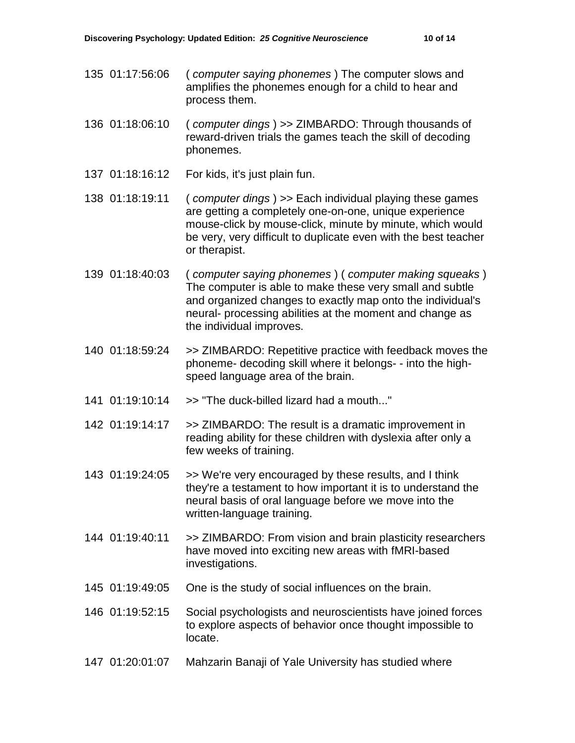- 135 01:17:56:06 ( *computer saying phonemes* ) The computer slows and amplifies the phonemes enough for a child to hear and process them.
- 136 01:18:06:10 ( *computer dings* ) >> ZIMBARDO: Through thousands of reward-driven trials the games teach the skill of decoding phonemes.
- 137 01:18:16:12 For kids, it's just plain fun.
- 138 01:18:19:11 ( *computer dings* ) >> Each individual playing these games are getting a completely one-on-one, unique experience mouse-click by mouse-click, minute by minute, which would be very, very difficult to duplicate even with the best teacher or therapist.
- 139 01:18:40:03 ( *computer saying phonemes* ) ( *computer making squeaks* ) The computer is able to make these very small and subtle and organized changes to exactly map onto the individual's neural- processing abilities at the moment and change as the individual improves.
- 140 01:18:59:24 >> ZIMBARDO: Repetitive practice with feedback moves the phoneme- decoding skill where it belongs- - into the highspeed language area of the brain.
- 141  $01:19:10:14$  >> "The duck-billed lizard had a mouth..."
- 142 01:19:14:17 >> ZIMBARDO: The result is a dramatic improvement in reading ability for these children with dyslexia after only a few weeks of training.
- 143 01:19:24:05 >> We're very encouraged by these results, and I think they're a testament to how important it is to understand the neural basis of oral language before we move into the written-language training.
- 144 01:19:40:11 >> ZIMBARDO: From vision and brain plasticity researchers have moved into exciting new areas with fMRI-based investigations.
- 145 01:19:49:05 One is the study of social influences on the brain.
- 146 01:19:52:15 Social psychologists and neuroscientists have joined forces to explore aspects of behavior once thought impossible to locate.
- 147 01:20:01:07 Mahzarin Banaji of Yale University has studied where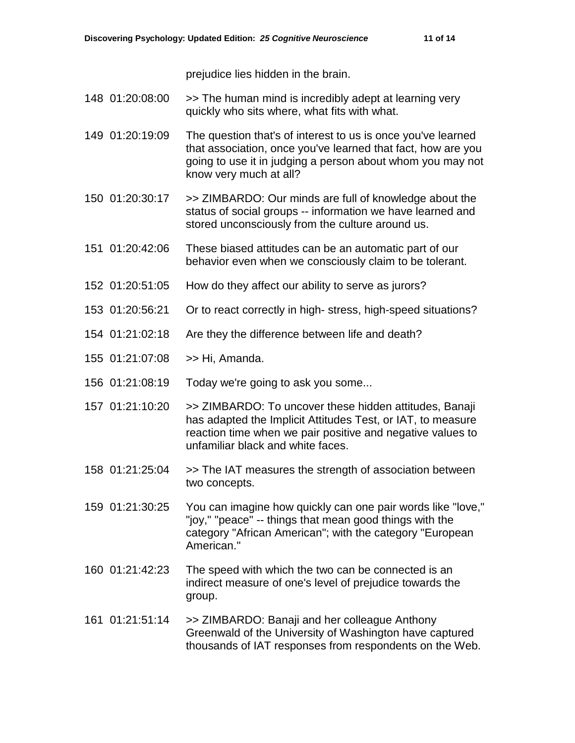prejudice lies hidden in the brain.

- 148 01:20:08:00 >> The human mind is incredibly adept at learning very quickly who sits where, what fits with what.
- 149 01:20:19:09 The question that's of interest to us is once you've learned that association, once you've learned that fact, how are you going to use it in judging a person about whom you may not know very much at all?
- 150 01:20:30:17 >> ZIMBARDO: Our minds are full of knowledge about the status of social groups -- information we have learned and stored unconsciously from the culture around us.
- 151 01:20:42:06 These biased attitudes can be an automatic part of our behavior even when we consciously claim to be tolerant.
- 152 01:20:51:05 How do they affect our ability to serve as jurors?
- 153 01:20:56:21 Or to react correctly in high- stress, high-speed situations?
- 154 01:21:02:18 Are they the difference between life and death?
- 155 01:21:07:08 >> Hi, Amanda.
- 156 01:21:08:19 Today we're going to ask you some...
- 157 01:21:10:20 >> ZIMBARDO: To uncover these hidden attitudes, Banaji has adapted the Implicit Attitudes Test, or IAT, to measure reaction time when we pair positive and negative values to unfamiliar black and white faces.
- 158 01:21:25:04 >> The IAT measures the strength of association between two concepts.

159 01:21:30:25 You can imagine how quickly can one pair words like "love," "joy," "peace" -- things that mean good things with the category "African American"; with the category "European American."

- 160 01:21:42:23 The speed with which the two can be connected is an indirect measure of one's level of prejudice towards the group.
- 161 01:21:51:14 >> ZIMBARDO: Banaji and her colleague Anthony Greenwald of the University of Washington have captured thousands of IAT responses from respondents on the Web.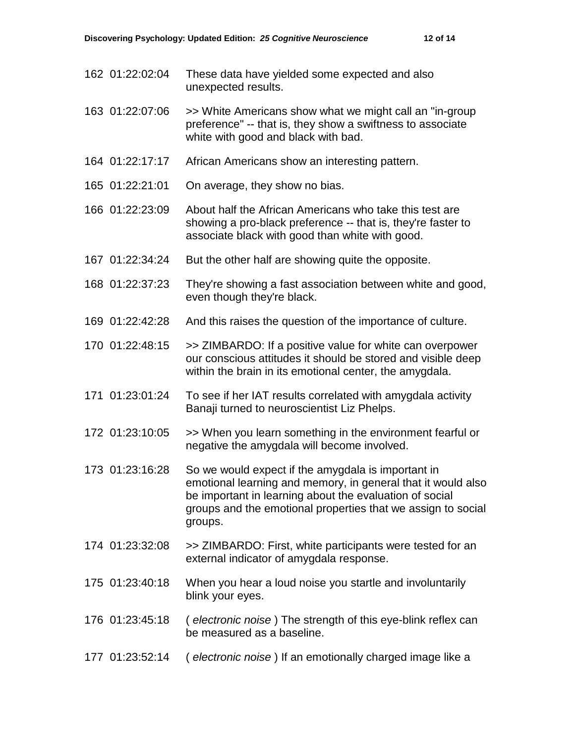- 162 01:22:02:04 These data have yielded some expected and also unexpected results.
- 163 01:22:07:06 >> White Americans show what we might call an "in-group preference" -- that is, they show a swiftness to associate white with good and black with bad.
- 164 01:22:17:17 African Americans show an interesting pattern.
- 165 01:22:21:01 On average, they show no bias.
- 166 01:22:23:09 About half the African Americans who take this test are showing a pro-black preference -- that is, they're faster to associate black with good than white with good.
- 167 01:22:34:24 But the other half are showing quite the opposite.
- 168 01:22:37:23 They're showing a fast association between white and good, even though they're black.
- 169 01:22:42:28 And this raises the question of the importance of culture.
- 170 01:22:48:15 >> ZIMBARDO: If a positive value for white can overpower our conscious attitudes it should be stored and visible deep within the brain in its emotional center, the amygdala.
- 171 01:23:01:24 To see if her IAT results correlated with amygdala activity Banaji turned to neuroscientist Liz Phelps.
- 172 01:23:10:05 >> When you learn something in the environment fearful or negative the amygdala will become involved.
- 173 01:23:16:28 So we would expect if the amygdala is important in emotional learning and memory, in general that it would also be important in learning about the evaluation of social groups and the emotional properties that we assign to social groups.
- 174 01:23:32:08 >> ZIMBARDO: First, white participants were tested for an external indicator of amygdala response.
- 175 01:23:40:18 When you hear a loud noise you startle and involuntarily blink your eyes.
- 176 01:23:45:18 ( *electronic noise* ) The strength of this eye-blink reflex can be measured as a baseline.
- 177 01:23:52:14 ( *electronic noise* ) If an emotionally charged image like a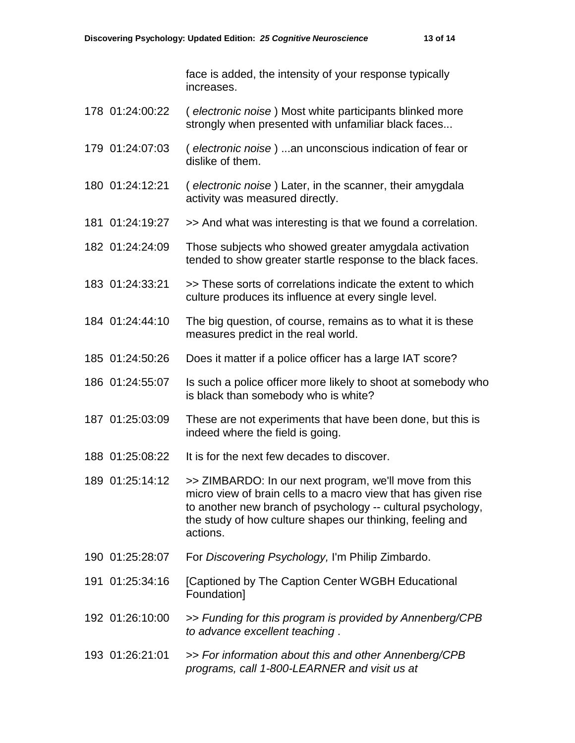face is added, the intensity of your response typically increases.

- 178 01:24:00:22 ( *electronic noise* ) Most white participants blinked more strongly when presented with unfamiliar black faces...
- 179 01:24:07:03 ( *electronic noise* ) ...an unconscious indication of fear or dislike of them.
- 180 01:24:12:21 ( *electronic noise* ) Later, in the scanner, their amygdala activity was measured directly.
- 181 01:24:19:27 >> And what was interesting is that we found a correlation.
- 182 01:24:24:09 Those subjects who showed greater amygdala activation tended to show greater startle response to the black faces.
- 183 01:24:33:21 >> These sorts of correlations indicate the extent to which culture produces its influence at every single level.
- 184 01:24:44:10 The big question, of course, remains as to what it is these measures predict in the real world.
- 185 01:24:50:26 Does it matter if a police officer has a large IAT score?
- 186 01:24:55:07 Is such a police officer more likely to shoot at somebody who is black than somebody who is white?
- 187 01:25:03:09 These are not experiments that have been done, but this is indeed where the field is going.
- 188 01:25:08:22 It is for the next few decades to discover.
- 189 01:25:14:12 >> ZIMBARDO: In our next program, we'll move from this micro view of brain cells to a macro view that has given rise to another new branch of psychology -- cultural psychology, the study of how culture shapes our thinking, feeling and actions.
- 190 01:25:28:07 For *Discovering Psychology,* I'm Philip Zimbardo.
- 191 01:25:34:16 [Captioned by The Caption Center WGBH Educational Foundation]
- 192 01:26:10:00 >> *Funding for this program is provided by Annenberg/CPB to advance excellent teaching* .
- 193 01:26:21:01 >> *For information about this and other Annenberg/CPB programs, call 1-800-LEARNER and visit us at*